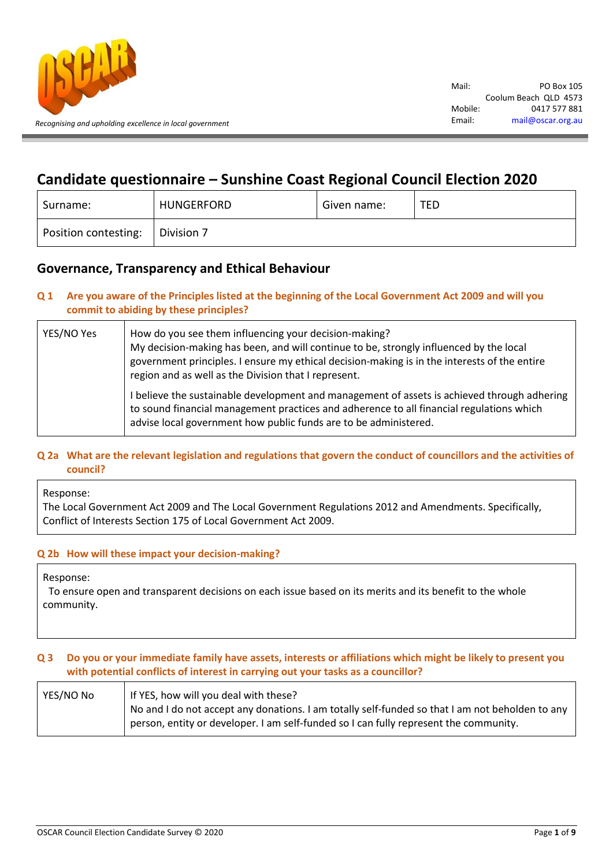

# **Candidate questionnaire – Sunshine Coast Regional Council Election 2020**

| Surname:             | <b>HUNGERFORD</b> | Given name: | <b>TED</b> |
|----------------------|-------------------|-------------|------------|
| Position contesting: | Division 7        |             |            |

## **Governance, Transparency and Ethical Behaviour**

## **Q 1 Are you aware of the Principles listed at the beginning of the Local Government Act 2009 and will you commit to abiding by these principles?**

| YES/NO Yes | How do you see them influencing your decision-making?<br>My decision-making has been, and will continue to be, strongly influenced by the local<br>government principles. I ensure my ethical decision-making is in the interests of the entire<br>region and as well as the Division that I represent. |
|------------|---------------------------------------------------------------------------------------------------------------------------------------------------------------------------------------------------------------------------------------------------------------------------------------------------------|
|            | I believe the sustainable development and management of assets is achieved through adhering<br>to sound financial management practices and adherence to all financial regulations which<br>advise local government how public funds are to be administered.                                             |

## **Q 2a What are the relevant legislation and regulations that govern the conduct of councillors and the activities of council?**

Response:

The Local Government Act 2009 and The Local Government Regulations 2012 and Amendments. Specifically, Conflict of Interests Section 175 of Local Government Act 2009.

## **Q 2b How will these impact your decision-making?**

Response:

To ensure open and transparent decisions on each issue based on its merits and its benefit to the whole community.

## **Q 3 Do you or your immediate family have assets, interests or affiliations which might be likely to present you with potential conflicts of interest in carrying out your tasks as a councillor?**

| YES/NO No | If YES, how will you deal with these?                                                                                                                                                    |
|-----------|------------------------------------------------------------------------------------------------------------------------------------------------------------------------------------------|
|           | No and I do not accept any donations. I am totally self-funded so that I am not beholden to any<br>person, entity or developer. I am self-funded so I can fully represent the community. |
|           |                                                                                                                                                                                          |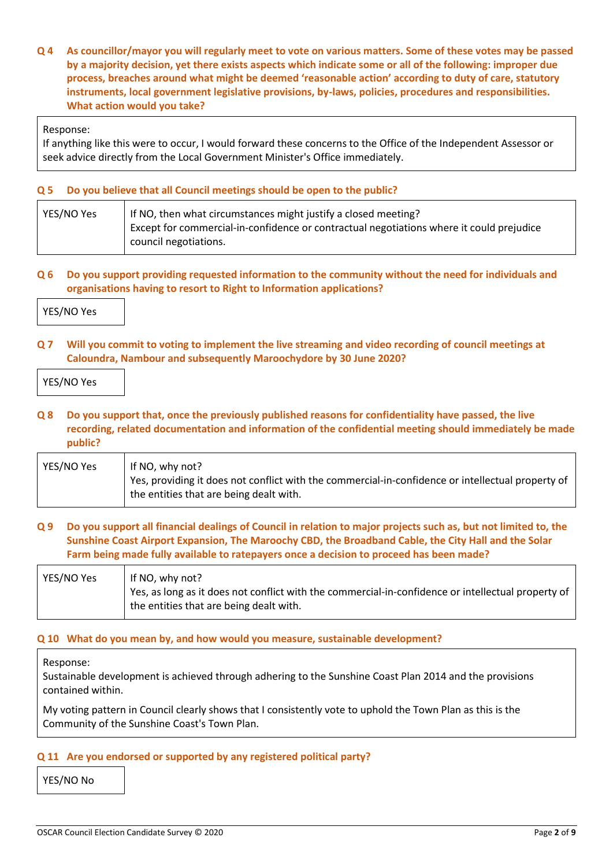**Q 4 As councillor/mayor you will regularly meet to vote on various matters. Some of these votes may be passed by a majority decision, yet there exists aspects which indicate some or all of the following: improper due process, breaches around what might be deemed 'reasonable action' according to duty of care, statutory instruments, local government legislative provisions, by-laws, policies, procedures and responsibilities. What action would you take?**

Response:

If anything like this were to occur, I would forward these concerns to the Office of the Independent Assessor or seek advice directly from the Local Government Minister's Office immediately.

## **Q 5 Do you believe that all Council meetings should be open to the public?**

| YES/NO Yes | If NO, then what circumstances might justify a closed meeting?                           |
|------------|------------------------------------------------------------------------------------------|
|            | Except for commercial-in-confidence or contractual negotiations where it could prejudice |
|            | council negotiations.                                                                    |

## **Q 6 Do you support providing requested information to the community without the need for individuals and organisations having to resort to Right to Information applications?**

| YES/NO Yes |  |
|------------|--|
|------------|--|

**Q 7 Will you commit to voting to implement the live streaming and video recording of council meetings at Caloundra, Nambour and subsequently Maroochydore by 30 June 2020?**

| YES/NO Yes |  |
|------------|--|
|------------|--|

**Q 8 Do you support that, once the previously published reasons for confidentiality have passed, the live recording, related documentation and information of the confidential meeting should immediately be made public?**

| YES/NO Yes | If NO, why not?<br>Yes, providing it does not conflict with the commercial-in-confidence or intellectual property of |
|------------|----------------------------------------------------------------------------------------------------------------------|
|            | the entities that are being dealt with.                                                                              |

## **Q 9 Do you support all financial dealings of Council in relation to major projects such as, but not limited to, the Sunshine Coast Airport Expansion, The Maroochy CBD, the Broadband Cable, the City Hall and the Solar Farm being made fully available to ratepayers once a decision to proceed has been made?**

| YES/NO Yes | If NO, why not?                                                                                    |
|------------|----------------------------------------------------------------------------------------------------|
|            | Yes, as long as it does not conflict with the commercial-in-confidence or intellectual property of |
|            | the entities that are being dealt with.                                                            |

## **Q 10 What do you mean by, and how would you measure, sustainable development?**

Response:

Sustainable development is achieved through adhering to the Sunshine Coast Plan 2014 and the provisions contained within.

My voting pattern in Council clearly shows that I consistently vote to uphold the Town Plan as this is the Community of the Sunshine Coast's Town Plan.

## **Q 11 Are you endorsed or supported by any registered political party?**

YES/NO No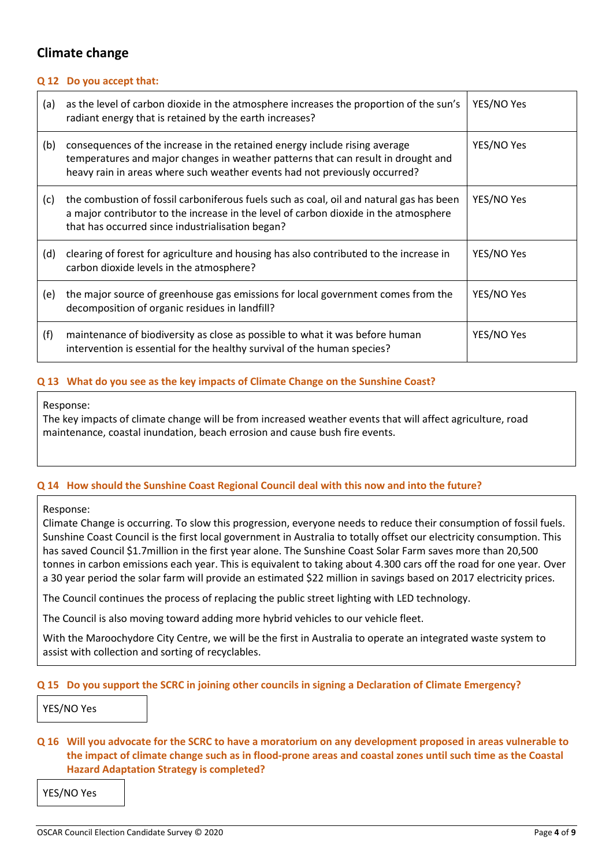## **Climate change**

## **Q 12 Do you accept that:**

| (a) | as the level of carbon dioxide in the atmosphere increases the proportion of the sun's<br>radiant energy that is retained by the earth increases?                                                                                             | YES/NO Yes |
|-----|-----------------------------------------------------------------------------------------------------------------------------------------------------------------------------------------------------------------------------------------------|------------|
| (b) | consequences of the increase in the retained energy include rising average<br>temperatures and major changes in weather patterns that can result in drought and<br>heavy rain in areas where such weather events had not previously occurred? | YES/NO Yes |
| (c) | the combustion of fossil carboniferous fuels such as coal, oil and natural gas has been<br>a major contributor to the increase in the level of carbon dioxide in the atmosphere<br>that has occurred since industrialisation began?           | YES/NO Yes |
| (d) | clearing of forest for agriculture and housing has also contributed to the increase in<br>carbon dioxide levels in the atmosphere?                                                                                                            | YES/NO Yes |
| (e) | the major source of greenhouse gas emissions for local government comes from the<br>decomposition of organic residues in landfill?                                                                                                            | YES/NO Yes |
| (f) | maintenance of biodiversity as close as possible to what it was before human<br>intervention is essential for the healthy survival of the human species?                                                                                      | YES/NO Yes |

## **Q 13 What do you see as the key impacts of Climate Change on the Sunshine Coast?**

#### Response:

The key impacts of climate change will be from increased weather events that will affect agriculture, road maintenance, coastal inundation, beach errosion and cause bush fire events.

## **Q 14 How should the Sunshine Coast Regional Council deal with this now and into the future?**

## Response:

Climate Change is occurring. To slow this progression, everyone needs to reduce their consumption of fossil fuels. Sunshine Coast Council is the first local government in Australia to totally offset our electricity consumption. This has saved Council \$1.7million in the first year alone. The Sunshine Coast Solar Farm saves more than 20,500 tonnes in carbon emissions each year. This is equivalent to taking about 4.300 cars off the road for one year. Over a 30 year period the solar farm will provide an estimated \$22 million in savings based on 2017 electricity prices.

The Council continues the process of replacing the public street lighting with LED technology.

The Council is also moving toward adding more hybrid vehicles to our vehicle fleet.

With the Maroochydore City Centre, we will be the first in Australia to operate an integrated waste system to assist with collection and sorting of recyclables.

## **Q 15 Do you support the SCRC in joining other councils in signing a Declaration of Climate Emergency?**

YES/NO Yes

**Q 16 Will you advocate for the SCRC to have a moratorium on any development proposed in areas vulnerable to the impact of climate change such as in flood-prone areas and coastal zones until such time as the Coastal Hazard Adaptation Strategy is completed?**

YES/NO Yes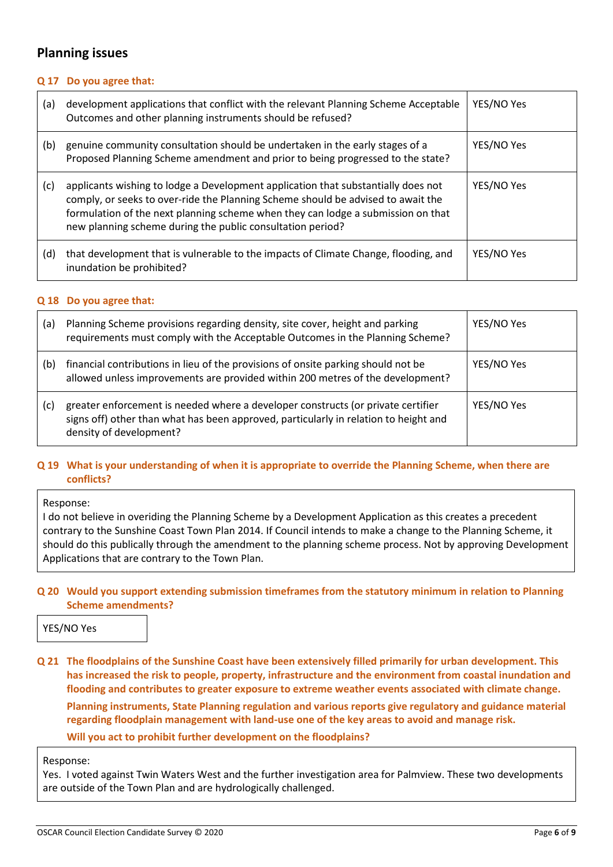## **Planning issues**

## **Q 17 Do you agree that:**

| (a) | development applications that conflict with the relevant Planning Scheme Acceptable<br>Outcomes and other planning instruments should be refused?                                                                                                                                                                       | YES/NO Yes |
|-----|-------------------------------------------------------------------------------------------------------------------------------------------------------------------------------------------------------------------------------------------------------------------------------------------------------------------------|------------|
| (b) | genuine community consultation should be undertaken in the early stages of a<br>Proposed Planning Scheme amendment and prior to being progressed to the state?                                                                                                                                                          | YES/NO Yes |
| (c) | applicants wishing to lodge a Development application that substantially does not<br>comply, or seeks to over-ride the Planning Scheme should be advised to await the<br>formulation of the next planning scheme when they can lodge a submission on that<br>new planning scheme during the public consultation period? | YES/NO Yes |
| (d) | that development that is vulnerable to the impacts of Climate Change, flooding, and<br>inundation be prohibited?                                                                                                                                                                                                        | YES/NO Yes |

## **Q 18 Do you agree that:**

| (a) | Planning Scheme provisions regarding density, site cover, height and parking<br>requirements must comply with the Acceptable Outcomes in the Planning Scheme?                                       | YES/NO Yes |
|-----|-----------------------------------------------------------------------------------------------------------------------------------------------------------------------------------------------------|------------|
| (b) | financial contributions in lieu of the provisions of onsite parking should not be<br>allowed unless improvements are provided within 200 metres of the development?                                 | YES/NO Yes |
| (c) | greater enforcement is needed where a developer constructs (or private certifier<br>signs off) other than what has been approved, particularly in relation to height and<br>density of development? | YES/NO Yes |

## **Q 19 What is your understanding of when it is appropriate to override the Planning Scheme, when there are conflicts?**

#### Response:

I do not believe in overiding the Planning Scheme by a Development Application as this creates a precedent contrary to the Sunshine Coast Town Plan 2014. If Council intends to make a change to the Planning Scheme, it should do this publically through the amendment to the planning scheme process. Not by approving Development Applications that are contrary to the Town Plan.

## **Q 20 Would you support extending submission timeframes from the statutory minimum in relation to Planning Scheme amendments?**

YES/NO Yes

**Q 21 The floodplains of the Sunshine Coast have been extensively filled primarily for urban development. This has increased the risk to people, property, infrastructure and the environment from coastal inundation and flooding and contributes to greater exposure to extreme weather events associated with climate change.** 

**Planning instruments, State Planning regulation and various reports give regulatory and guidance material regarding floodplain management with land-use one of the key areas to avoid and manage risk. Will you act to prohibit further development on the floodplains?**

Response:

Yes. I voted against Twin Waters West and the further investigation area for Palmview. These two developments are outside of the Town Plan and are hydrologically challenged.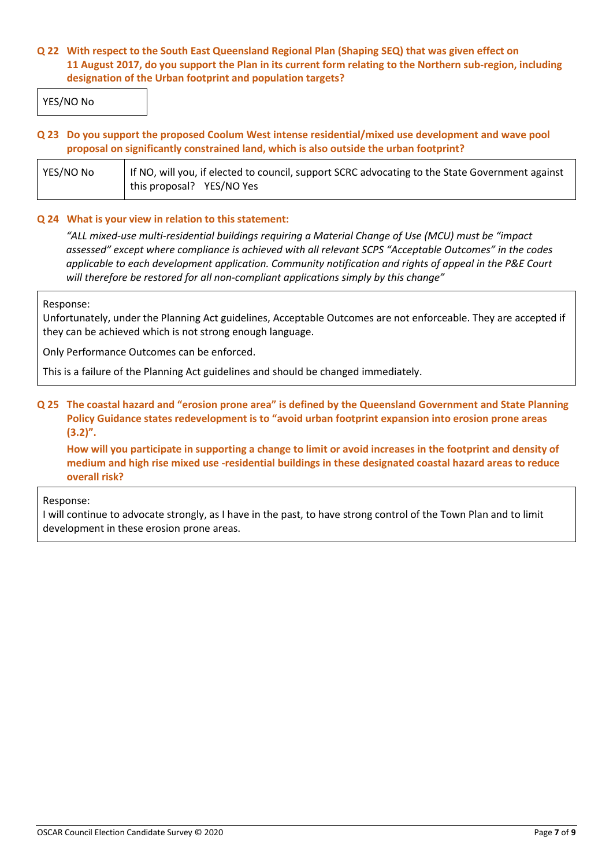## **Q 22 With respect to the South East Queensland Regional Plan (Shaping SEQ) that was given effect on 11 August 2017, do you support the Plan in its current form relating to the Northern sub-region, including designation of the Urban footprint and population targets?**

YES/NO No

## **Q 23 Do you support the proposed Coolum West intense residential/mixed use development and wave pool proposal on significantly constrained land, which is also outside the urban footprint?**

| YES/NO No | If NO, will you, if elected to council, support SCRC advocating to the State Government against |  |
|-----------|-------------------------------------------------------------------------------------------------|--|
|           | this proposal? YES/NO Yes                                                                       |  |

## **Q 24 What is your view in relation to this statement:**

*"ALL mixed-use multi-residential buildings requiring a Material Change of Use (MCU) must be "impact assessed" except where compliance is achieved with all relevant SCPS "Acceptable Outcomes" in the codes applicable to each development application. Community notification and rights of appeal in the P&E Court will therefore be restored for all non-compliant applications simply by this change"*

## Response:

Unfortunately, under the Planning Act guidelines, Acceptable Outcomes are not enforceable. They are accepted if they can be achieved which is not strong enough language.

Only Performance Outcomes can be enforced.

This is a failure of the Planning Act guidelines and should be changed immediately.

## **Q 25 The coastal hazard and "erosion prone area" is defined by the Queensland Government and State Planning Policy Guidance states redevelopment is to "avoid urban footprint expansion into erosion prone areas (3.2)".**

**How will you participate in supporting a change to limit or avoid increases in the footprint and density of medium and high rise mixed use -residential buildings in these designated coastal hazard areas to reduce overall risk?**

## Response:

I will continue to advocate strongly, as I have in the past, to have strong control of the Town Plan and to limit development in these erosion prone areas.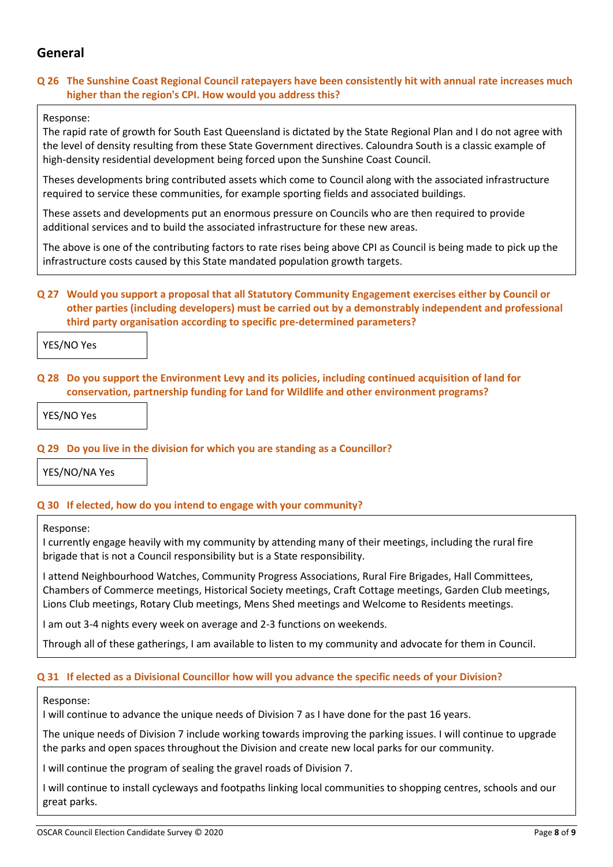## **General**

## **Q 26 The Sunshine Coast Regional Council ratepayers have been consistently hit with annual rate increases much higher than the region's CPI. How would you address this?**

## Response:

The rapid rate of growth for South East Queensland is dictated by the State Regional Plan and I do not agree with the level of density resulting from these State Government directives. Caloundra South is a classic example of high-density residential development being forced upon the Sunshine Coast Council.

Theses developments bring contributed assets which come to Council along with the associated infrastructure required to service these communities, for example sporting fields and associated buildings.

These assets and developments put an enormous pressure on Councils who are then required to provide additional services and to build the associated infrastructure for these new areas.

The above is one of the contributing factors to rate rises being above CPI as Council is being made to pick up the infrastructure costs caused by this State mandated population growth targets.

## **Q 27 Would you support a proposal that all Statutory Community Engagement exercises either by Council or other parties (including developers) must be carried out by a demonstrably independent and professional third party organisation according to specific pre-determined parameters?**

YES/NO Yes

## **Q 28 Do you support the Environment Levy and its policies, including continued acquisition of land for conservation, partnership funding for Land for Wildlife and other environment programs?**

YES/NO Yes

## **Q 29 Do you live in the division for which you are standing as a Councillor?**

YES/NO/NA Yes

## **Q 30 If elected, how do you intend to engage with your community?**

#### Response:

I currently engage heavily with my community by attending many of their meetings, including the rural fire brigade that is not a Council responsibility but is a State responsibility.

I attend Neighbourhood Watches, Community Progress Associations, Rural Fire Brigades, Hall Committees, Chambers of Commerce meetings, Historical Society meetings, Craft Cottage meetings, Garden Club meetings, Lions Club meetings, Rotary Club meetings, Mens Shed meetings and Welcome to Residents meetings.

I am out 3-4 nights every week on average and 2-3 functions on weekends.

Through all of these gatherings, I am available to listen to my community and advocate for them in Council.

## **Q 31 If elected as a Divisional Councillor how will you advance the specific needs of your Division?**

## Response:

I will continue to advance the unique needs of Division 7 as I have done for the past 16 years.

The unique needs of Division 7 include working towards improving the parking issues. I will continue to upgrade the parks and open spaces throughout the Division and create new local parks for our community.

I will continue the program of sealing the gravel roads of Division 7.

I will continue to install cycleways and footpaths linking local communities to shopping centres, schools and our great parks.